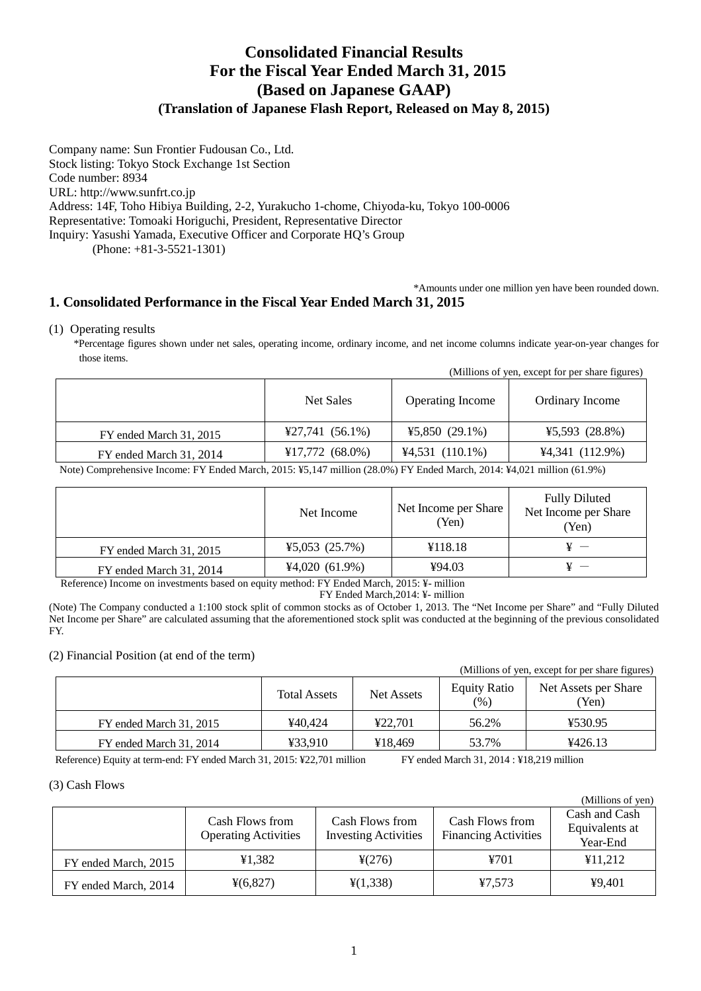# **Consolidated Financial Results For the Fiscal Year Ended March 31, 2015 (Based on Japanese GAAP) (Translation of Japanese Flash Report, Released on May 8, 2015)**

Company name: Sun Frontier Fudousan Co., Ltd. Stock listing: Tokyo Stock Exchange 1st Section Code number: 8934 URL: http://www.sunfrt.co.jp Address: 14F, Toho Hibiya Building, 2-2, Yurakucho 1-chome, Chiyoda-ku, Tokyo 100-0006 Representative: Tomoaki Horiguchi, President, Representative Director Inquiry: Yasushi Yamada, Executive Officer and Corporate HQ's Group (Phone: +81-3-5521-1301)

## \*Amounts under one million yen have been rounded down. **1. Consolidated Performance in the Fiscal Year Ended March 31, 2015**

## (1) Operating results

\*Percentage figures shown under net sales, operating income, ordinary income, and net income columns indicate year-on-year changes for those items.

|  | (Millions of yen, except for per share figures) |
|--|-------------------------------------------------|
|  |                                                 |

|                         | Net Sales                                | <b>Operating Income</b> | <b>Ordinary Income</b> |
|-------------------------|------------------------------------------|-------------------------|------------------------|
| FY ended March 31, 2015 | $\text{\textsterling}27,741 \; (56.1\%)$ | ¥5,850 $(29.1\%)$       | ¥5,593 $(28.8\%)$      |
| FY ended March 31, 2014 | ¥17,772 $(68.0\%)$                       | $4,531(110.1\%)$        | $4,341$ (112.9%)       |

Note) Comprehensive Income: FY Ended March, 2015: ¥5,147 million (28.0%) FY Ended March, 2014: ¥4,021 million (61.9%)

|                         | Net Income       | Net Income per Share<br>(Yen) | <b>Fully Diluted</b><br>Net Income per Share<br>(Yen) |
|-------------------------|------------------|-------------------------------|-------------------------------------------------------|
| FY ended March 31, 2015 | ¥5,053 $(25.7%)$ | ¥118.18                       |                                                       |
| FY ended March 31, 2014 | 44,020(61.9%)    | ¥94.03                        |                                                       |

Reference) Income on investments based on equity method: FY Ended March, 2015: ¥- million

FY Ended March,2014: ¥- million

(Note) The Company conducted a 1:100 stock split of common stocks as of October 1, 2013. The "Net Income per Share" and "Fully Diluted Net Income per Share" are calculated assuming that the aforementioned stock split was conducted at the beginning of the previous consolidated FY.

## (2) Financial Position (at end of the term)

(Millions of yen, except for per share figures)

 $(M<sub>i</sub>$ llions of you)

|                         | <b>Total Assets</b> | <b>Net Assets</b> | <b>Equity Ratio</b><br>(%) | Net Assets per Share<br>(Yen) |
|-------------------------|---------------------|-------------------|----------------------------|-------------------------------|
| FY ended March 31, 2015 | ¥40.424             | 422.701           | 56.2%                      | ¥530.95                       |
| FY ended March 31, 2014 | ¥33.910             | ¥18.469           | 53.7%                      | 4426.13                       |

Reference) Equity at term-end: FY ended March 31, 2015: ¥22,701 million FY ended March 31, 2014 : ¥18,219 million

## (3) Cash Flows

|                      |                                                |                                                |                                                | TMITHOUS OF ACITY                           |
|----------------------|------------------------------------------------|------------------------------------------------|------------------------------------------------|---------------------------------------------|
|                      | Cash Flows from<br><b>Operating Activities</b> | Cash Flows from<br><b>Investing Activities</b> | Cash Flows from<br><b>Financing Activities</b> | Cash and Cash<br>Equivalents at<br>Year-End |
| FY ended March, 2015 | ¥1.382                                         | $\frac{1}{2}(276)$                             | ¥701                                           | ¥11,212                                     |
| FY ended March, 2014 | $\frac{1}{2}(6,827)$                           | $\frac{1}{2}(1,338)$                           | ¥7.573                                         | 49,401                                      |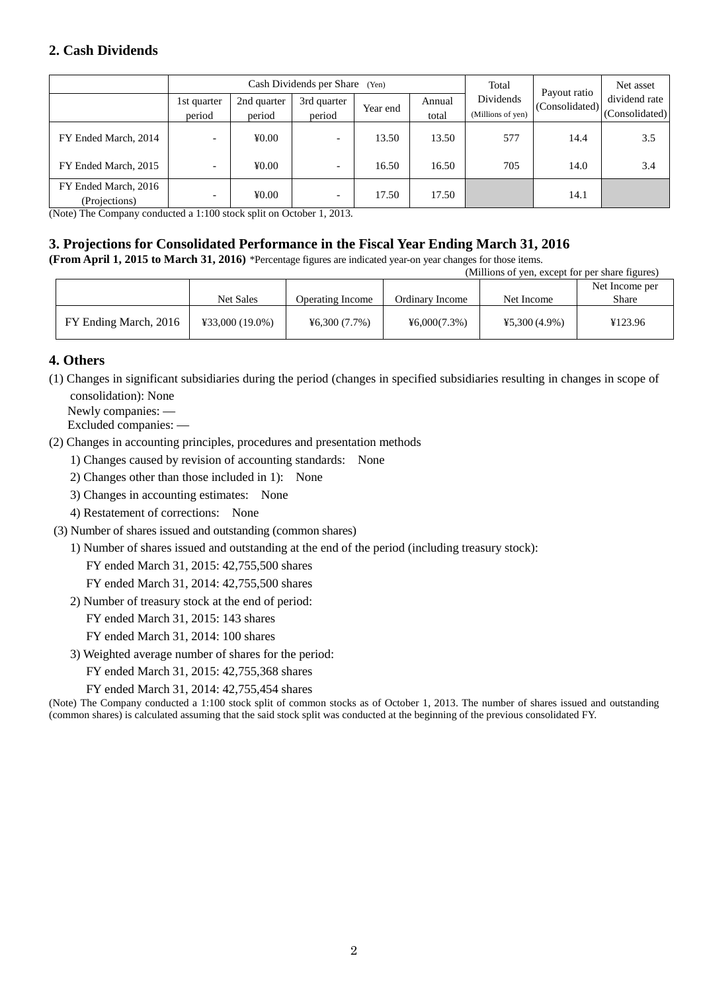## **2. Cash Dividends**

|                                       | Cash Dividends per Share (Yen) |                            |                          |          | Total           | Payout ratio                   | Net asset      |                                 |
|---------------------------------------|--------------------------------|----------------------------|--------------------------|----------|-----------------|--------------------------------|----------------|---------------------------------|
|                                       | 1st quarter<br>period          | 2nd quarter<br>period      | 3rd quarter<br>period    | Year end | Annual<br>total | Dividends<br>(Millions of yen) | (Consolidated) | dividend rate<br>(Consolidated) |
| FY Ended March, 2014                  |                                | $\text{\textsterling}0.00$ |                          | 13.50    | 13.50           | 577                            | 14.4           | 3.5                             |
| FY Ended March, 2015                  | -                              | $\text{\textsterling}0.00$ | $\overline{\phantom{0}}$ | 16.50    | 16.50           | 705                            | 14.0           | 3.4                             |
| FY Ended March, 2016<br>(Projections) | -                              | ¥0.00                      | $\overline{\phantom{0}}$ | 17.50    | 17.50           |                                | 14.1           |                                 |

(Note) The Company conducted a 1:100 stock split on October 1, 2013.

# **3. Projections for Consolidated Performance in the Fiscal Year Ending March 31, 2016**

**(From April 1, 2015 to March 31, 2016)** \*Percentage figures are indicated year-on year changes for those items.

| (Millions of yen, except for per share figures) |                   |                         |                 |                 |                |
|-------------------------------------------------|-------------------|-------------------------|-----------------|-----------------|----------------|
|                                                 |                   |                         |                 |                 | Net Income per |
|                                                 | Net Sales         | <b>Operating Income</b> | Ordinary Income | Net Income      | Share          |
| FY Ending March, 2016                           | $433,000(19.0\%)$ | 46,300(7.7%)            | 46,000(7.3%)    | $45,300(4.9\%)$ | ¥123.96        |

## **4. Others**

(1) Changes in significant subsidiaries during the period (changes in specified subsidiaries resulting in changes in scope of consolidation): None

Newly companies: —

Excluded companies: —

(2) Changes in accounting principles, procedures and presentation methods

- 1) Changes caused by revision of accounting standards: None
- 2) Changes other than those included in 1): None
- 3) Changes in accounting estimates: None
- 4) Restatement of corrections: None
- (3) Number of shares issued and outstanding (common shares)
	- 1) Number of shares issued and outstanding at the end of the period (including treasury stock):

FY ended March 31, 2015: 42,755,500 shares

FY ended March 31, 2014: 42,755,500 shares

2) Number of treasury stock at the end of period:

FY ended March 31, 2015: 143 shares

FY ended March 31, 2014: 100 shares

3) Weighted average number of shares for the period:

FY ended March 31, 2015: 42,755,368 shares

FY ended March 31, 2014: 42,755,454 shares

(Note) The Company conducted a 1:100 stock split of common stocks as of October 1, 2013. The number of shares issued and outstanding (common shares) is calculated assuming that the said stock split was conducted at the beginning of the previous consolidated FY.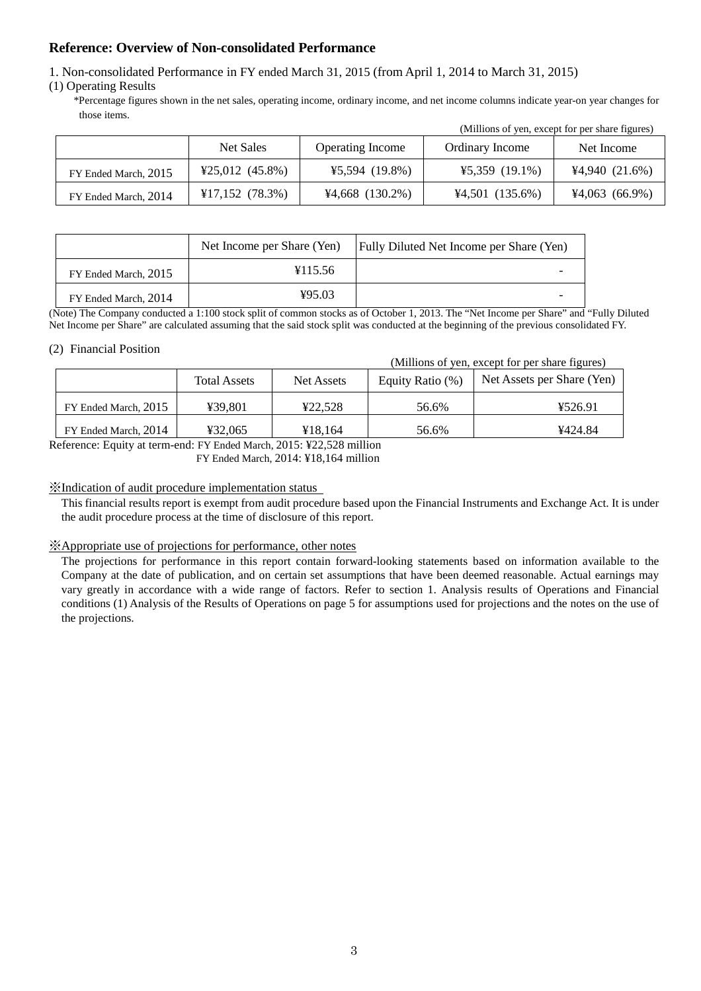## **Reference: Overview of Non-consolidated Performance**

1. Non-consolidated Performance in FY ended March 31, 2015 (from April 1, 2014 to March 31, 2015)

(1) Operating Results

\*Percentage figures shown in the net sales, operating income, ordinary income, and net income columns indicate year-on year changes for those items.

|                      | Net Sales         | <b>Operating Income</b> | Ordinary Income  | Net Income       |
|----------------------|-------------------|-------------------------|------------------|------------------|
| FY Ended March, 2015 | $425,012$ (45.8%) | $45,594$ (19.8%)        | $45,359$ (19.1%) | 4,940(21.6%)     |
| FY Ended March, 2014 | $¥17,152$ (78.3%) | $44,668$ (130.2%)       | $4,501$ (135.6%) | $44,063$ (66.9%) |

|                      | Net Income per Share (Yen) | <b>Fully Diluted Net Income per Share (Yen)</b> |
|----------------------|----------------------------|-------------------------------------------------|
| FY Ended March, 2015 | ¥115.56                    |                                                 |
| FY Ended March, 2014 | ¥95.03                     |                                                 |

(Note) The Company conducted a 1:100 stock split of common stocks as of October 1, 2013. The "Net Income per Share" and "Fully Diluted Net Income per Share" are calculated assuming that the said stock split was conducted at the beginning of the previous consolidated FY.

## (2) Financial Position

(Millions of yen, except for per share figures)

(Millions of yen, except for per share figures)

|                      | <b>Total Assets</b> | Net Assets | Equity Ratio (%) | Net Assets per Share (Yen) |
|----------------------|---------------------|------------|------------------|----------------------------|
| FY Ended March, 2015 | ¥39.801             | ¥22.528    | 56.6%            | ¥526.91                    |
| FY Ended March, 2014 | ¥32.065             | ¥18.164    | 56.6%            | ¥424.84                    |

Reference: Equity at term-end: FY Ended March, 2015: ¥22,528 million

FY Ended March, 2014: ¥18,164 million

## ※Indication of audit procedure implementation status

This financial results report is exempt from audit procedure based upon the Financial Instruments and Exchange Act. It is under the audit procedure process at the time of disclosure of this report.

## ※Appropriate use of projections for performance, other notes

The projections for performance in this report contain forward-looking statements based on information available to the Company at the date of publication, and on certain set assumptions that have been deemed reasonable. Actual earnings may vary greatly in accordance with a wide range of factors. Refer to section 1. Analysis results of Operations and Financial conditions (1) Analysis of the Results of Operations on page 5 for assumptions used for projections and the notes on the use of the projections.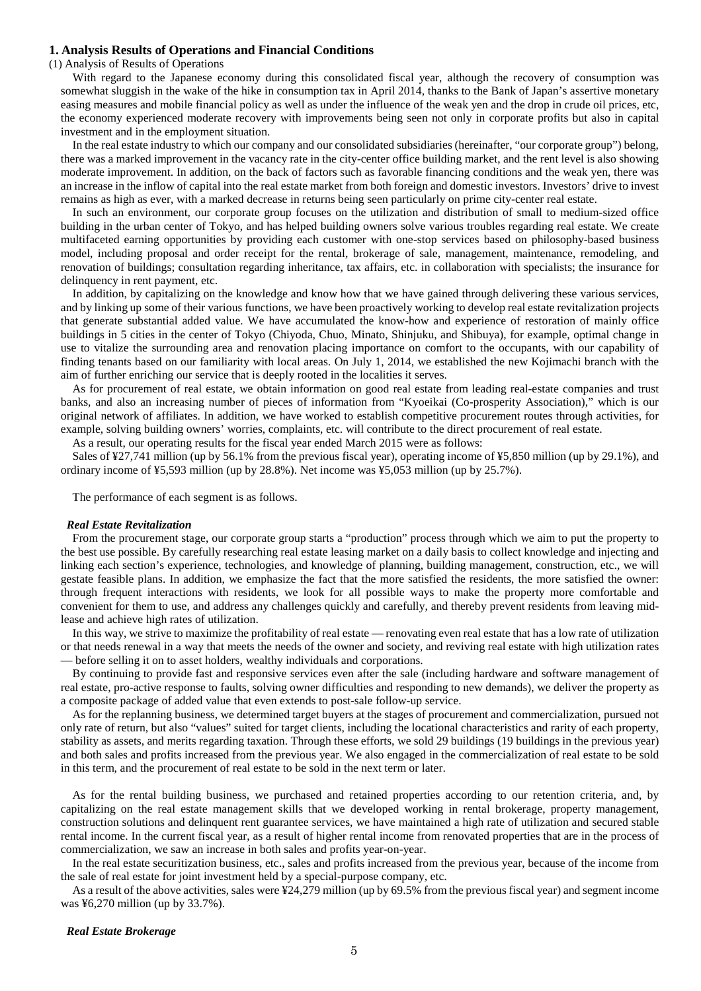### **1. Analysis Results of Operations and Financial Conditions**

#### (1) Analysis of Results of Operations

 With regard to the Japanese economy during this consolidated fiscal year, although the recovery of consumption was somewhat sluggish in the wake of the hike in consumption tax in April 2014, thanks to the Bank of Japan's assertive monetary easing measures and mobile financial policy as well as under the influence of the weak yen and the drop in crude oil prices, etc, the economy experienced moderate recovery with improvements being seen not only in corporate profits but also in capital investment and in the employment situation.

In the real estate industry to which our company and our consolidated subsidiaries (hereinafter, "our corporate group") belong, there was a marked improvement in the vacancy rate in the city-center office building market, and the rent level is also showing moderate improvement. In addition, on the back of factors such as favorable financing conditions and the weak yen, there was an increase in the inflow of capital into the real estate market from both foreign and domestic investors. Investors' drive to invest remains as high as ever, with a marked decrease in returns being seen particularly on prime city-center real estate.

In such an environment, our corporate group focuses on the utilization and distribution of small to medium-sized office building in the urban center of Tokyo, and has helped building owners solve various troubles regarding real estate. We create multifaceted earning opportunities by providing each customer with one-stop services based on philosophy-based business model, including proposal and order receipt for the rental, brokerage of sale, management, maintenance, remodeling, and renovation of buildings; consultation regarding inheritance, tax affairs, etc. in collaboration with specialists; the insurance for delinquency in rent payment, etc.

In addition, by capitalizing on the knowledge and know how that we have gained through delivering these various services, and by linking up some of their various functions, we have been proactively working to develop real estate revitalization projects that generate substantial added value. We have accumulated the know-how and experience of restoration of mainly office buildings in 5 cities in the center of Tokyo (Chiyoda, Chuo, Minato, Shinjuku, and Shibuya), for example, optimal change in use to vitalize the surrounding area and renovation placing importance on comfort to the occupants, with our capability of finding tenants based on our familiarity with local areas. On July 1, 2014, we established the new Kojimachi branch with the aim of further enriching our service that is deeply rooted in the localities it serves.

As for procurement of real estate, we obtain information on good real estate from leading real-estate companies and trust banks, and also an increasing number of pieces of information from "Kyoeikai (Co-prosperity Association)," which is our original network of affiliates. In addition, we have worked to establish competitive procurement routes through activities, for example, solving building owners' worries, complaints, etc. will contribute to the direct procurement of real estate.

As a result, our operating results for the fiscal year ended March 2015 were as follows:

Sales of ¥27,741 million (up by 56.1% from the previous fiscal year), operating income of ¥5,850 million (up by 29.1%), and ordinary income of ¥5,593 million (up by 28.8%). Net income was ¥5,053 million (up by 25.7%).

The performance of each segment is as follows.

#### *Real Estate Revitalization*

From the procurement stage, our corporate group starts a "production" process through which we aim to put the property to the best use possible. By carefully researching real estate leasing market on a daily basis to collect knowledge and injecting and linking each section's experience, technologies, and knowledge of planning, building management, construction, etc., we will gestate feasible plans. In addition, we emphasize the fact that the more satisfied the residents, the more satisfied the owner: through frequent interactions with residents, we look for all possible ways to make the property more comfortable and convenient for them to use, and address any challenges quickly and carefully, and thereby prevent residents from leaving midlease and achieve high rates of utilization.

In this way, we strive to maximize the profitability of real estate — renovating even real estate that has a low rate of utilization or that needs renewal in a way that meets the needs of the owner and society, and reviving real estate with high utilization rates — before selling it on to asset holders, wealthy individuals and corporations.

By continuing to provide fast and responsive services even after the sale (including hardware and software management of real estate, pro-active response to faults, solving owner difficulties and responding to new demands), we deliver the property as a composite package of added value that even extends to post-sale follow-up service.

As for the replanning business, we determined target buyers at the stages of procurement and commercialization, pursued not only rate of return, but also "values" suited for target clients, including the locational characteristics and rarity of each property, stability as assets, and merits regarding taxation. Through these efforts, we sold 29 buildings (19 buildings in the previous year) and both sales and profits increased from the previous year. We also engaged in the commercialization of real estate to be sold in this term, and the procurement of real estate to be sold in the next term or later.

As for the rental building business, we purchased and retained properties according to our retention criteria, and, by capitalizing on the real estate management skills that we developed working in rental brokerage, property management, construction solutions and delinquent rent guarantee services, we have maintained a high rate of utilization and secured stable rental income. In the current fiscal year, as a result of higher rental income from renovated properties that are in the process of commercialization, we saw an increase in both sales and profits year-on-year.

In the real estate securitization business, etc., sales and profits increased from the previous year, because of the income from the sale of real estate for joint investment held by a special-purpose company, etc.

As a result of the above activities, sales were ¥24,279 million (up by 69.5% from the previous fiscal year) and segment income was ¥6,270 million (up by 33.7%).

### *Real Estate Brokerage*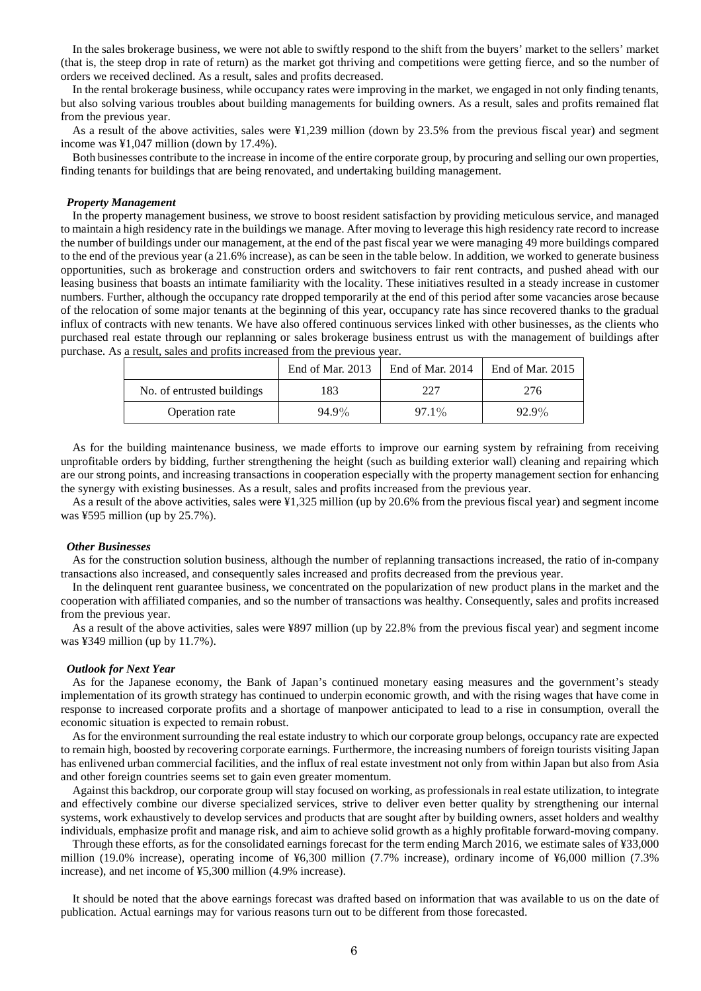In the sales brokerage business, we were not able to swiftly respond to the shift from the buyers' market to the sellers' market (that is, the steep drop in rate of return) as the market got thriving and competitions were getting fierce, and so the number of orders we received declined. As a result, sales and profits decreased.

In the rental brokerage business, while occupancy rates were improving in the market, we engaged in not only finding tenants, but also solving various troubles about building managements for building owners. As a result, sales and profits remained flat from the previous year.

As a result of the above activities, sales were ¥1,239 million (down by 23.5% from the previous fiscal year) and segment income was ¥1,047 million (down by 17.4%).

Both businesses contribute to the increase in income of the entire corporate group, by procuring and selling our own properties, finding tenants for buildings that are being renovated, and undertaking building management.

#### *Property Management*

In the property management business, we strove to boost resident satisfaction by providing meticulous service, and managed to maintain a high residency rate in the buildings we manage. After moving to leverage this high residency rate record to increase the number of buildings under our management, at the end of the past fiscal year we were managing 49 more buildings compared to the end of the previous year (a 21.6% increase), as can be seen in the table below. In addition, we worked to generate business opportunities, such as brokerage and construction orders and switchovers to fair rent contracts, and pushed ahead with our leasing business that boasts an intimate familiarity with the locality. These initiatives resulted in a steady increase in customer numbers. Further, although the occupancy rate dropped temporarily at the end of this period after some vacancies arose because of the relocation of some major tenants at the beginning of this year, occupancy rate has since recovered thanks to the gradual influx of contracts with new tenants. We have also offered continuous services linked with other businesses, as the clients who purchased real estate through our replanning or sales brokerage business entrust us with the management of buildings after purchase. As a result, sales and profits increased from the previous year.

|                            | End of Mar. 2013 | End of Mar. 2014 | End of Mar. $2015$ |
|----------------------------|------------------|------------------|--------------------|
| No. of entrusted buildings | 183              | 227              | 276                |
| Operation rate             | 94.9%            | 97.1%            | $92.9\%$           |

As for the building maintenance business, we made efforts to improve our earning system by refraining from receiving unprofitable orders by bidding, further strengthening the height (such as building exterior wall) cleaning and repairing which are our strong points, and increasing transactions in cooperation especially with the property management section for enhancing the synergy with existing businesses. As a result, sales and profits increased from the previous year.

As a result of the above activities, sales were ¥1,325 million (up by 20.6% from the previous fiscal year) and segment income was ¥595 million (up by 25.7%).

#### *Other Businesses*

As for the construction solution business, although the number of replanning transactions increased, the ratio of in-company transactions also increased, and consequently sales increased and profits decreased from the previous year.

In the delinquent rent guarantee business, we concentrated on the popularization of new product plans in the market and the cooperation with affiliated companies, and so the number of transactions was healthy. Consequently, sales and profits increased from the previous year.

As a result of the above activities, sales were ¥897 million (up by 22.8% from the previous fiscal year) and segment income was ¥349 million (up by 11.7%).

#### *Outlook for Next Year*

As for the Japanese economy, the Bank of Japan's continued monetary easing measures and the government's steady implementation of its growth strategy has continued to underpin economic growth, and with the rising wages that have come in response to increased corporate profits and a shortage of manpower anticipated to lead to a rise in consumption, overall the economic situation is expected to remain robust.

As for the environment surrounding the real estate industry to which our corporate group belongs, occupancy rate are expected to remain high, boosted by recovering corporate earnings. Furthermore, the increasing numbers of foreign tourists visiting Japan has enlivened urban commercial facilities, and the influx of real estate investment not only from within Japan but also from Asia and other foreign countries seems set to gain even greater momentum.

Against this backdrop, our corporate group will stay focused on working, as professionals in real estate utilization, to integrate and effectively combine our diverse specialized services, strive to deliver even better quality by strengthening our internal systems, work exhaustively to develop services and products that are sought after by building owners, asset holders and wealthy individuals, emphasize profit and manage risk, and aim to achieve solid growth as a highly profitable forward-moving company.

Through these efforts, as for the consolidated earnings forecast for the term ending March 2016, we estimate sales of ¥33,000 million (19.0% increase), operating income of ¥6,300 million (7.7% increase), ordinary income of ¥6,000 million (7.3% increase), and net income of ¥5,300 million (4.9% increase).

It should be noted that the above earnings forecast was drafted based on information that was available to us on the date of publication. Actual earnings may for various reasons turn out to be different from those forecasted.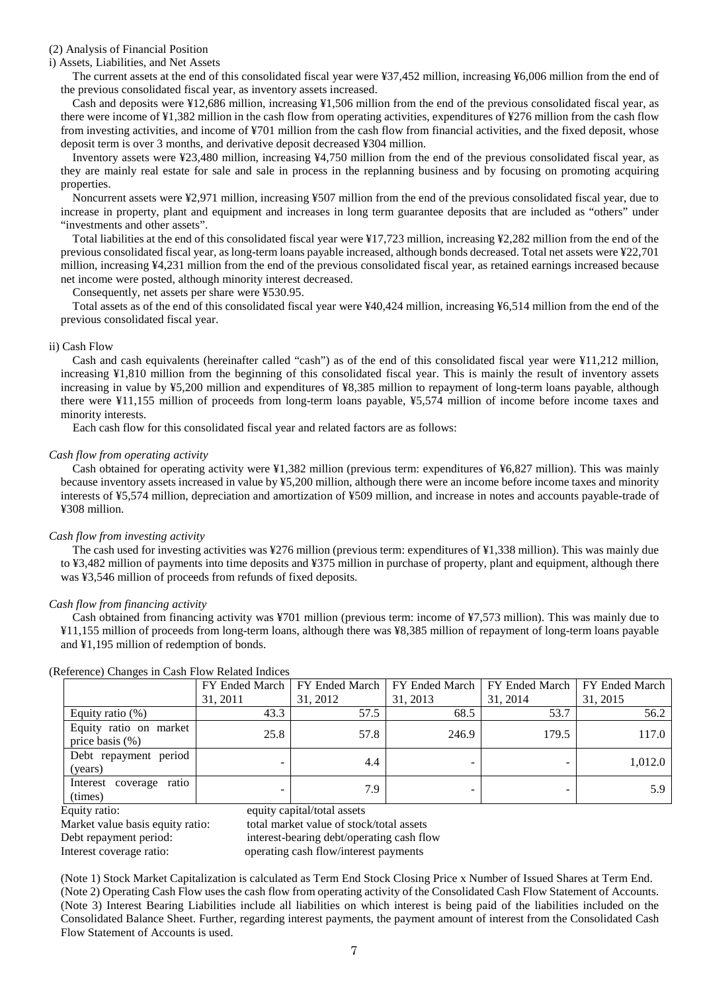## (2) Analysis of Financial Position

i) Assets, Liabilities, and Net Assets

The current assets at the end of this consolidated fiscal year were ¥37,452 million, increasing ¥6,006 million from the end of the previous consolidated fiscal year, as inventory assets increased.

Cash and deposits were ¥12,686 million, increasing ¥1,506 million from the end of the previous consolidated fiscal year, as there were income of ¥1,382 million in the cash flow from operating activities, expenditures of ¥276 million from the cash flow from investing activities, and income of ¥701 million from the cash flow from financial activities, and the fixed deposit, whose deposit term is over 3 months, and derivative deposit decreased ¥304 million.

Inventory assets were ¥23,480 million, increasing ¥4,750 million from the end of the previous consolidated fiscal year, as they are mainly real estate for sale and sale in process in the replanning business and by focusing on promoting acquiring properties.

Noncurrent assets were ¥2,971 million, increasing ¥507 million from the end of the previous consolidated fiscal year, due to increase in property, plant and equipment and increases in long term guarantee deposits that are included as "others" under "investments and other assets".

Total liabilities at the end of this consolidated fiscal year were ¥17,723 million, increasing ¥2,282 million from the end of the previous consolidated fiscal year, as long-term loans payable increased, although bonds decreased. Total net assets were ¥22,701 million, increasing ¥4,231 million from the end of the previous consolidated fiscal year, as retained earnings increased because net income were posted, although minority interest decreased.

Consequently, net assets per share were ¥530.95.

Total assets as of the end of this consolidated fiscal year were ¥40,424 million, increasing ¥6,514 million from the end of the previous consolidated fiscal year.

## ii) Cash Flow

Cash and cash equivalents (hereinafter called "cash") as of the end of this consolidated fiscal year were ¥11,212 million, increasing ¥1,810 million from the beginning of this consolidated fiscal year. This is mainly the result of inventory assets increasing in value by ¥5,200 million and expenditures of ¥8,385 million to repayment of long-term loans payable, although there were ¥11,155 million of proceeds from long-term loans payable, ¥5,574 million of income before income taxes and minority interests.

Each cash flow for this consolidated fiscal year and related factors are as follows:

## *Cash flow from operating activity*

Cash obtained for operating activity were ¥1,382 million (previous term: expenditures of ¥6,827 million). This was mainly because inventory assets increased in value by ¥5,200 million, although there were an income before income taxes and minority interests of ¥5,574 million, depreciation and amortization of ¥509 million, and increase in notes and accounts payable-trade of ¥308 million.

### *Cash flow from investing activity*

The cash used for investing activities was ¥276 million (previous term: expenditures of ¥1,338 million). This was mainly due to ¥3,482 million of payments into time deposits and ¥375 million in purchase of property, plant and equipment, although there was ¥3,546 million of proceeds from refunds of fixed deposits.

### *Cash flow from financing activity*

Cash obtained from financing activity was ¥701 million (previous term: income of ¥7,573 million). This was mainly due to ¥11,155 million of proceeds from long-term loans, although there was ¥8,385 million of repayment of long-term loans payable and ¥1,195 million of redemption of bonds.

|                                              |          | FY Ended March   FY Ended March | FY Ended March   FY Ended March   FY Ended March |          |          |
|----------------------------------------------|----------|---------------------------------|--------------------------------------------------|----------|----------|
|                                              | 31, 2011 | 31, 2012                        | 31, 2013                                         | 31, 2014 | 31, 2015 |
| Equity ratio $(\%)$                          | 43.3     | 57.5                            | 68.5                                             | 53.7     | 56.2     |
| Equity ratio on market<br>price basis $(\%)$ | 25.8     | 57.8                            | 246.9                                            | 179.5    | 117.0    |
| Debt repayment period<br>(years)             |          | 4.4                             | -                                                |          | 1.012.0  |
| Interest coverage ratio<br>(times)           |          | 7.9                             |                                                  |          | 5.9      |

(Reference) Changes in Cash Flow Related Indices

Equity ratio: equity capital/total assets

Market value basis equity ratio: total market value of stock/total assets Debt repayment period: interest-bearing debt/operating cash flow Interest coverage ratio: operating cash flow/interest payments

(Note 1) Stock Market Capitalization is calculated as Term End Stock Closing Price x Number of Issued Shares at Term End. (Note 2) Operating Cash Flow uses the cash flow from operating activity of the Consolidated Cash Flow Statement of Accounts. (Note 3) Interest Bearing Liabilities include all liabilities on which interest is being paid of the liabilities included on the Consolidated Balance Sheet. Further, regarding interest payments, the payment amount of interest from the Consolidated Cash Flow Statement of Accounts is used.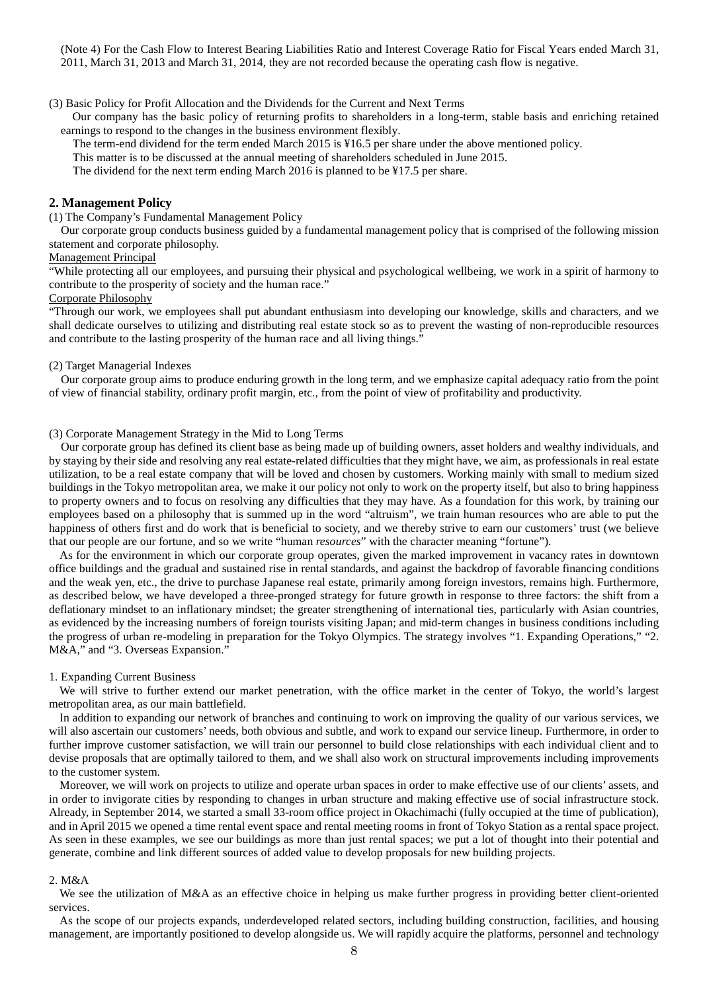(Note 4) For the Cash Flow to Interest Bearing Liabilities Ratio and Interest Coverage Ratio for Fiscal Years ended March 31, 2011, March 31, 2013 and March 31, 2014, they are not recorded because the operating cash flow is negative.

(3) Basic Policy for Profit Allocation and the Dividends for the Current and Next Terms

Our company has the basic policy of returning profits to shareholders in a long-term, stable basis and enriching retained earnings to respond to the changes in the business environment flexibly.

The term-end dividend for the term ended March 2015 is ¥16.5 per share under the above mentioned policy.

This matter is to be discussed at the annual meeting of shareholders scheduled in June 2015.

The dividend for the next term ending March 2016 is planned to be ¥17.5 per share.

## **2. Management Policy**

(1) The Company's Fundamental Management Policy

Our corporate group conducts business guided by a fundamental management policy that is comprised of the following mission statement and corporate philosophy.

#### Management Principal

"While protecting all our employees, and pursuing their physical and psychological wellbeing, we work in a spirit of harmony to contribute to the prosperity of society and the human race."

## Corporate Philosophy

"Through our work, we employees shall put abundant enthusiasm into developing our knowledge, skills and characters, and we shall dedicate ourselves to utilizing and distributing real estate stock so as to prevent the wasting of non-reproducible resources and contribute to the lasting prosperity of the human race and all living things."

#### (2) Target Managerial Indexes

Our corporate group aims to produce enduring growth in the long term, and we emphasize capital adequacy ratio from the point of view of financial stability, ordinary profit margin, etc., from the point of view of profitability and productivity.

#### (3) Corporate Management Strategy in the Mid to Long Terms

 Our corporate group has defined its client base as being made up of building owners, asset holders and wealthy individuals, and by staying by their side and resolving any real estate-related difficulties that they might have, we aim, as professionals in real estate utilization, to be a real estate company that will be loved and chosen by customers. Working mainly with small to medium sized buildings in the Tokyo metropolitan area, we make it our policy not only to work on the property itself, but also to bring happiness to property owners and to focus on resolving any difficulties that they may have. As a foundation for this work, by training our employees based on a philosophy that is summed up in the word "altruism", we train human resources who are able to put the happiness of others first and do work that is beneficial to society, and we thereby strive to earn our customers' trust (we believe that our people are our fortune, and so we write "human *resources*" with the character meaning "fortune").

As for the environment in which our corporate group operates, given the marked improvement in vacancy rates in downtown office buildings and the gradual and sustained rise in rental standards, and against the backdrop of favorable financing conditions and the weak yen, etc., the drive to purchase Japanese real estate, primarily among foreign investors, remains high. Furthermore, as described below, we have developed a three-pronged strategy for future growth in response to three factors: the shift from a deflationary mindset to an inflationary mindset; the greater strengthening of international ties, particularly with Asian countries, as evidenced by the increasing numbers of foreign tourists visiting Japan; and mid-term changes in business conditions including the progress of urban re-modeling in preparation for the Tokyo Olympics. The strategy involves "1. Expanding Operations," "2. M&A," and "3. Overseas Expansion."

#### 1. Expanding Current Business

We will strive to further extend our market penetration, with the office market in the center of Tokyo, the world's largest metropolitan area, as our main battlefield.

In addition to expanding our network of branches and continuing to work on improving the quality of our various services, we will also ascertain our customers' needs, both obvious and subtle, and work to expand our service lineup. Furthermore, in order to further improve customer satisfaction, we will train our personnel to build close relationships with each individual client and to devise proposals that are optimally tailored to them, and we shall also work on structural improvements including improvements to the customer system.

Moreover, we will work on projects to utilize and operate urban spaces in order to make effective use of our clients' assets, and in order to invigorate cities by responding to changes in urban structure and making effective use of social infrastructure stock. Already, in September 2014, we started a small 33-room office project in Okachimachi (fully occupied at the time of publication), and in April 2015 we opened a time rental event space and rental meeting rooms in front of Tokyo Station as a rental space project. As seen in these examples, we see our buildings as more than just rental spaces; we put a lot of thought into their potential and generate, combine and link different sources of added value to develop proposals for new building projects.

### 2. M&A

We see the utilization of M&A as an effective choice in helping us make further progress in providing better client-oriented services.

As the scope of our projects expands, underdeveloped related sectors, including building construction, facilities, and housing management, are importantly positioned to develop alongside us. We will rapidly acquire the platforms, personnel and technology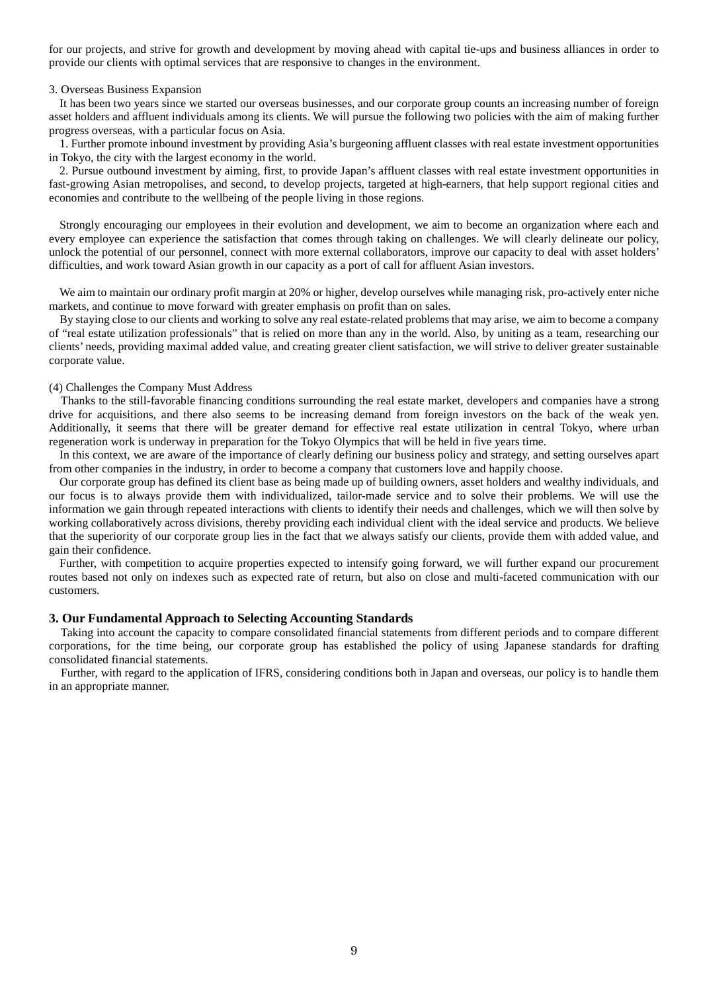for our projects, and strive for growth and development by moving ahead with capital tie-ups and business alliances in order to provide our clients with optimal services that are responsive to changes in the environment.

#### 3. Overseas Business Expansion

It has been two years since we started our overseas businesses, and our corporate group counts an increasing number of foreign asset holders and affluent individuals among its clients. We will pursue the following two policies with the aim of making further progress overseas, with a particular focus on Asia.

1. Further promote inbound investment by providing Asia's burgeoning affluent classes with real estate investment opportunities in Tokyo, the city with the largest economy in the world.

2. Pursue outbound investment by aiming, first, to provide Japan's affluent classes with real estate investment opportunities in fast-growing Asian metropolises, and second, to develop projects, targeted at high-earners, that help support regional cities and economies and contribute to the wellbeing of the people living in those regions.

Strongly encouraging our employees in their evolution and development, we aim to become an organization where each and every employee can experience the satisfaction that comes through taking on challenges. We will clearly delineate our policy, unlock the potential of our personnel, connect with more external collaborators, improve our capacity to deal with asset holders' difficulties, and work toward Asian growth in our capacity as a port of call for affluent Asian investors.

We aim to maintain our ordinary profit margin at 20% or higher, develop ourselves while managing risk, pro-actively enter niche markets, and continue to move forward with greater emphasis on profit than on sales.

By staying close to our clients and working to solve any real estate-related problems that may arise, we aim to become a company of "real estate utilization professionals" that is relied on more than any in the world. Also, by uniting as a team, researching our clients' needs, providing maximal added value, and creating greater client satisfaction, we will strive to deliver greater sustainable corporate value.

### (4) Challenges the Company Must Address

Thanks to the still-favorable financing conditions surrounding the real estate market, developers and companies have a strong drive for acquisitions, and there also seems to be increasing demand from foreign investors on the back of the weak yen. Additionally, it seems that there will be greater demand for effective real estate utilization in central Tokyo, where urban regeneration work is underway in preparation for the Tokyo Olympics that will be held in five years time.

In this context, we are aware of the importance of clearly defining our business policy and strategy, and setting ourselves apart from other companies in the industry, in order to become a company that customers love and happily choose.

Our corporate group has defined its client base as being made up of building owners, asset holders and wealthy individuals, and our focus is to always provide them with individualized, tailor-made service and to solve their problems. We will use the information we gain through repeated interactions with clients to identify their needs and challenges, which we will then solve by working collaboratively across divisions, thereby providing each individual client with the ideal service and products. We believe that the superiority of our corporate group lies in the fact that we always satisfy our clients, provide them with added value, and gain their confidence.

Further, with competition to acquire properties expected to intensify going forward, we will further expand our procurement routes based not only on indexes such as expected rate of return, but also on close and multi-faceted communication with our customers.

### **3. Our Fundamental Approach to Selecting Accounting Standards**

Taking into account the capacity to compare consolidated financial statements from different periods and to compare different corporations, for the time being, our corporate group has established the policy of using Japanese standards for drafting consolidated financial statements.

Further, with regard to the application of IFRS, considering conditions both in Japan and overseas, our policy is to handle them in an appropriate manner.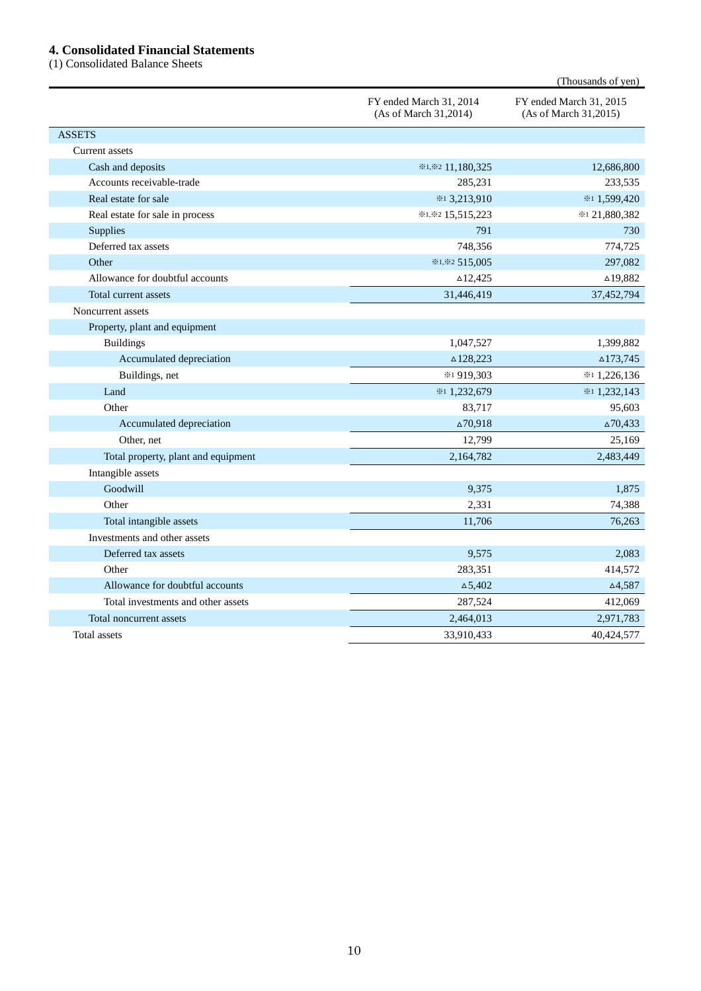## **4. Consolidated Financial Statements**

(1) Consolidated Balance Sheets

|                                     |                                                  | (Thousands of yen)                               |
|-------------------------------------|--------------------------------------------------|--------------------------------------------------|
|                                     | FY ended March 31, 2014<br>(As of March 31,2014) | FY ended March 31, 2015<br>(As of March 31,2015) |
| <b>ASSETS</b>                       |                                                  |                                                  |
| Current assets                      |                                                  |                                                  |
| Cash and deposits                   | *1,*2 11,180,325                                 | 12,686,800                                       |
| Accounts receivable-trade           | 285,231                                          | 233,535                                          |
| Real estate for sale                | *13,213,910                                      | *11,599,420                                      |
| Real estate for sale in process     | *1,*2 15,515,223                                 | ※121,880,382                                     |
| Supplies                            | 791                                              | 730                                              |
| Deferred tax assets                 | 748,356                                          | 774,725                                          |
| Other                               | ※1,※2 515,005                                    | 297,082                                          |
| Allowance for doubtful accounts     | $\triangle$ 12,425                               | $\triangle$ 19,882                               |
| Total current assets                | 31,446,419                                       | 37,452,794                                       |
| Noncurrent assets                   |                                                  |                                                  |
| Property, plant and equipment       |                                                  |                                                  |
| <b>Buildings</b>                    | 1,047,527                                        | 1,399,882                                        |
| Accumulated depreciation            | $\triangle$ 128,223                              | $\triangle$ 173,745                              |
| Buildings, net                      | ※1919,303                                        | *11,226,136                                      |
| Land                                | *11,232,679                                      | $*1,232,143$                                     |
| Other                               | 83,717                                           | 95,603                                           |
| Accumulated depreciation            | $\Delta 70,918$                                  | $\triangle 70,433$                               |
| Other, net                          | 12,799                                           | 25,169                                           |
| Total property, plant and equipment | 2,164,782                                        | 2,483,449                                        |
| Intangible assets                   |                                                  |                                                  |
| Goodwill                            | 9,375                                            | 1,875                                            |
| Other                               | 2,331                                            | 74,388                                           |
| Total intangible assets             | 11,706                                           | 76,263                                           |
| Investments and other assets        |                                                  |                                                  |
| Deferred tax assets                 | 9,575                                            | 2,083                                            |
| Other                               | 283,351                                          | 414,572                                          |
| Allowance for doubtful accounts     | $\Delta$ 5,402                                   | $\triangle 4,587$                                |
| Total investments and other assets  | 287,524                                          | 412,069                                          |
| Total noncurrent assets             | 2,464,013                                        | 2,971,783                                        |
| Total assets                        | 33,910,433                                       | 40,424,577                                       |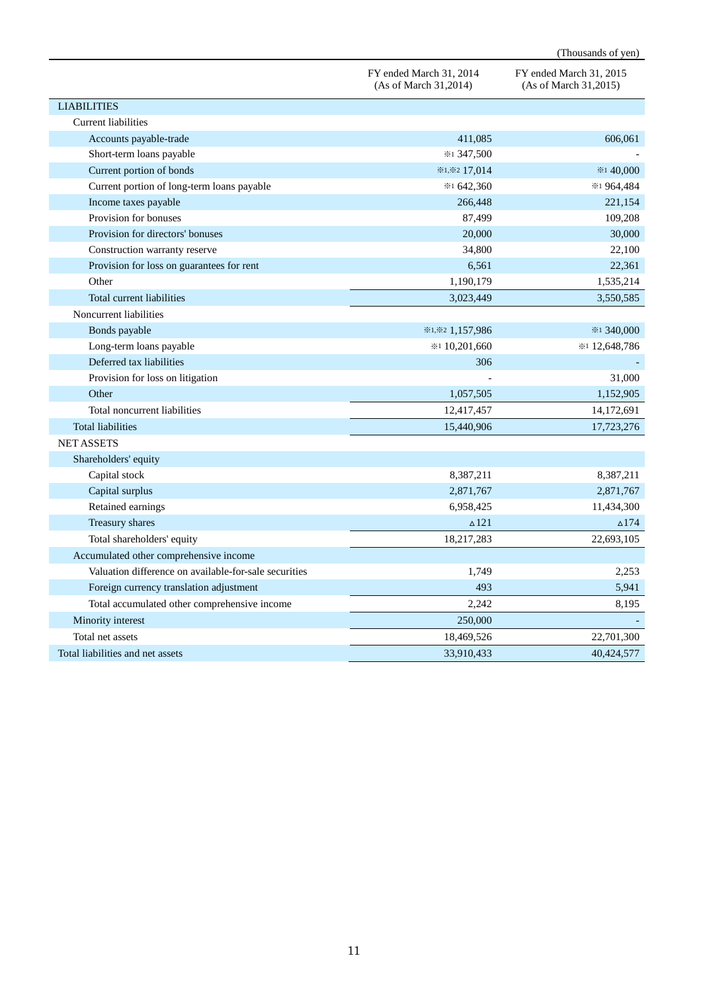|                                                       |                                                  | (Thousands of yen)                               |
|-------------------------------------------------------|--------------------------------------------------|--------------------------------------------------|
|                                                       | FY ended March 31, 2014<br>(As of March 31,2014) | FY ended March 31, 2015<br>(As of March 31,2015) |
| <b>LIABILITIES</b>                                    |                                                  |                                                  |
| <b>Current liabilities</b>                            |                                                  |                                                  |
| Accounts payable-trade                                | 411,085                                          | 606,061                                          |
| Short-term loans payable                              | *1 347,500                                       |                                                  |
| Current portion of bonds                              | ※1,※2 17,014                                     | ※1 40,000                                        |
| Current portion of long-term loans payable            | $*1642,360$                                      | ※1 964,484                                       |
| Income taxes payable                                  | 266,448                                          | 221,154                                          |
| Provision for bonuses                                 | 87,499                                           | 109,208                                          |
| Provision for directors' bonuses                      | 20,000                                           | 30,000                                           |
| Construction warranty reserve                         | 34,800                                           | 22,100                                           |
| Provision for loss on guarantees for rent             | 6,561                                            | 22,361                                           |
| Other                                                 | 1,190,179                                        | 1,535,214                                        |
| Total current liabilities                             | 3,023,449                                        | 3,550,585                                        |
| Noncurrent liabilities                                |                                                  |                                                  |
| Bonds payable                                         | *1,*2 1,157,986                                  | *1 340,000                                       |
| Long-term loans payable                               | $*10,201,660$                                    | * 12,648,786                                     |
| Deferred tax liabilities                              | 306                                              |                                                  |
| Provision for loss on litigation                      |                                                  | 31,000                                           |
| Other                                                 | 1,057,505                                        | 1,152,905                                        |
| Total noncurrent liabilities                          | 12,417,457                                       | 14,172,691                                       |
| <b>Total liabilities</b>                              | 15,440,906                                       | 17,723,276                                       |
| <b>NET ASSETS</b>                                     |                                                  |                                                  |
| Shareholders' equity                                  |                                                  |                                                  |
| Capital stock                                         | 8,387,211                                        | 8,387,211                                        |
| Capital surplus                                       | 2,871,767                                        | 2,871,767                                        |
| Retained earnings                                     | 6,958,425                                        | 11,434,300                                       |
| Treasury shares                                       | $\triangle$ 121                                  | $\triangle$ 174                                  |
| Total shareholders' equity                            | 18,217,283                                       | 22,693,105                                       |
| Accumulated other comprehensive income                |                                                  |                                                  |
| Valuation difference on available-for-sale securities | 1,749                                            | 2,253                                            |
| Foreign currency translation adjustment               | 493                                              | 5,941                                            |
| Total accumulated other comprehensive income          | 2,242                                            | 8,195                                            |
| Minority interest                                     | 250,000                                          |                                                  |
| Total net assets                                      | 18,469,526                                       | 22,701,300                                       |
| Total liabilities and net assets                      | 33,910,433                                       | 40,424,577                                       |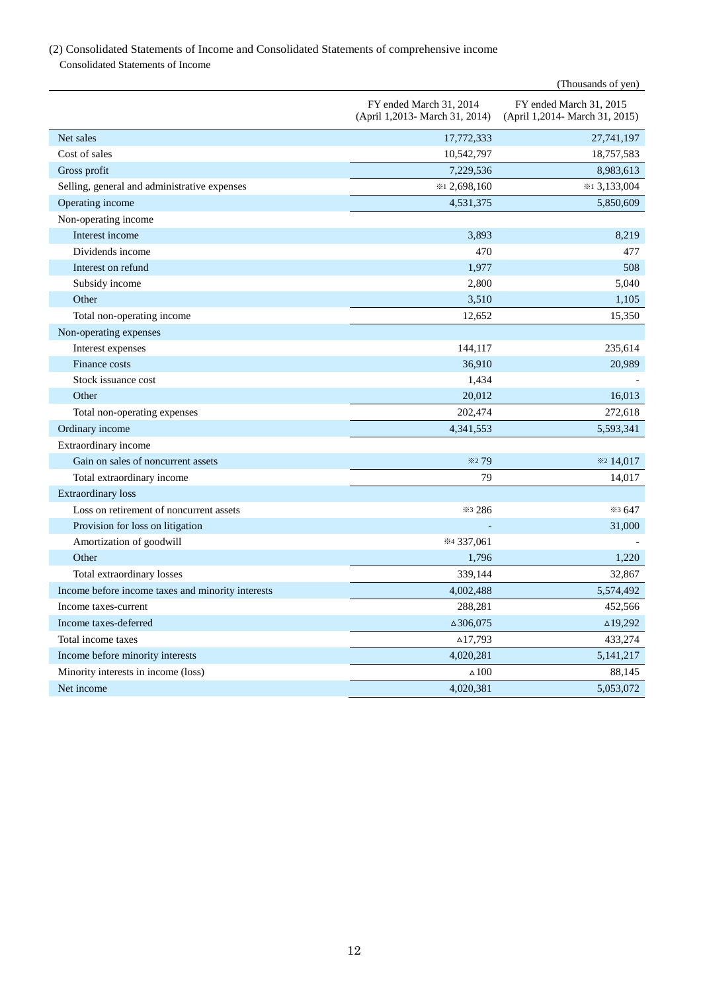## (2) Consolidated Statements of Income and Consolidated Statements of comprehensive income Consolidated Statements of Income

|                                                   |                                                           | (Thousands of yen)                                        |
|---------------------------------------------------|-----------------------------------------------------------|-----------------------------------------------------------|
|                                                   | FY ended March 31, 2014<br>(April 1,2013- March 31, 2014) | FY ended March 31, 2015<br>(April 1,2014- March 31, 2015) |
| Net sales                                         | 17,772,333                                                | 27,741,197                                                |
| Cost of sales                                     | 10,542,797                                                | 18,757,583                                                |
| Gross profit                                      | 7,229,536                                                 | 8,983,613                                                 |
| Selling, general and administrative expenses      | *12,698,160                                               | $*13,133,004$                                             |
| Operating income                                  | 4,531,375                                                 | 5,850,609                                                 |
| Non-operating income                              |                                                           |                                                           |
| Interest income                                   | 3,893                                                     | 8.219                                                     |
| Dividends income                                  | 470                                                       | 477                                                       |
| Interest on refund                                | 1,977                                                     | 508                                                       |
| Subsidy income                                    | 2,800                                                     | 5,040                                                     |
| Other                                             | 3,510                                                     | 1,105                                                     |
| Total non-operating income                        | 12,652                                                    | 15,350                                                    |
| Non-operating expenses                            |                                                           |                                                           |
| Interest expenses                                 | 144,117                                                   | 235,614                                                   |
| Finance costs                                     | 36,910                                                    | 20,989                                                    |
| Stock issuance cost                               | 1,434                                                     |                                                           |
| Other                                             | 20,012                                                    | 16,013                                                    |
| Total non-operating expenses                      | 202,474                                                   | 272,618                                                   |
| Ordinary income                                   | 4,341,553                                                 | 5,593,341                                                 |
| Extraordinary income                              |                                                           |                                                           |
| Gain on sales of noncurrent assets                | <b>*279</b>                                               | ※2 14,017                                                 |
| Total extraordinary income                        | 79                                                        | 14,017                                                    |
| <b>Extraordinary loss</b>                         |                                                           |                                                           |
| Loss on retirement of noncurrent assets           | *3 286                                                    | *3 647                                                    |
| Provision for loss on litigation                  |                                                           | 31,000                                                    |
| Amortization of goodwill                          | *4 337,061                                                |                                                           |
| Other                                             | 1,796                                                     | 1,220                                                     |
| Total extraordinary losses                        | 339,144                                                   | 32,867                                                    |
| Income before income taxes and minority interests | 4,002,488                                                 | 5,574,492                                                 |
| Income taxes-current                              | 288,281                                                   | 452,566                                                   |
| Income taxes-deferred                             | $\triangle 306,075$                                       | $\triangle$ 19,292                                        |
| Total income taxes                                | $\triangle$ 17,793                                        | 433,274                                                   |
| Income before minority interests                  | 4,020,281                                                 | 5, 141, 217                                               |
| Minority interests in income (loss)               | $\triangle$ 100                                           | 88,145                                                    |
| Net income                                        | 4,020,381                                                 | 5,053,072                                                 |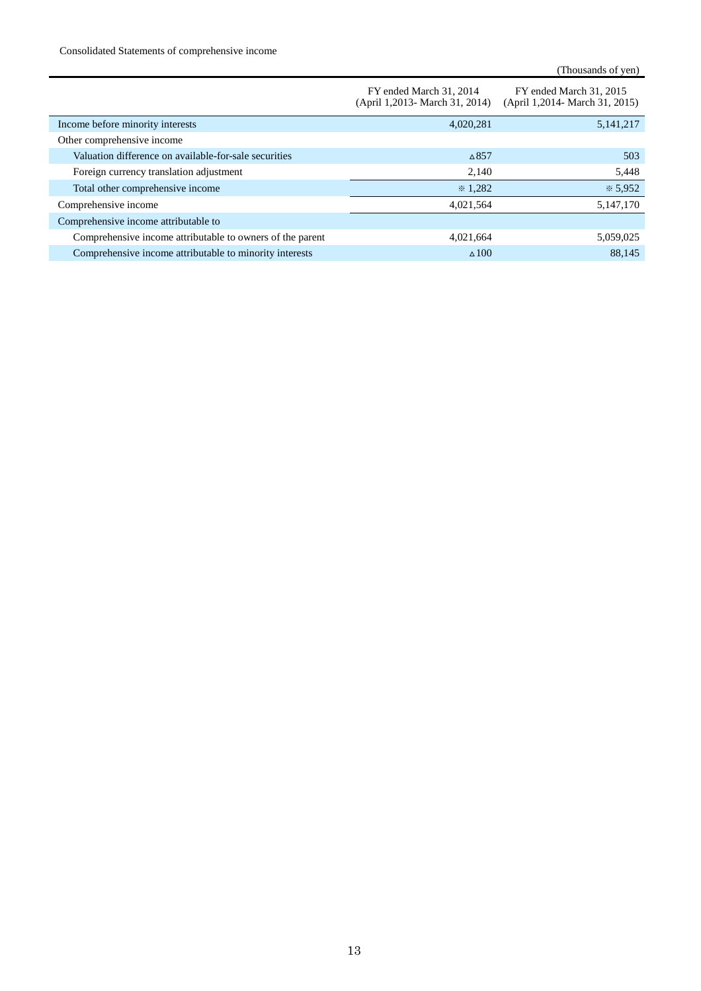Consolidated Statements of comprehensive income

|                                                           | FY ended March 31, 2014<br>(April 1,2013 - March 31, 2014) | FY ended March 31, 2015<br>(April 1,2014- March 31, 2015) |
|-----------------------------------------------------------|------------------------------------------------------------|-----------------------------------------------------------|
| Income before minority interests                          | 4,020,281                                                  | 5, 141, 217                                               |
| Other comprehensive income                                |                                                            |                                                           |
| Valuation difference on available-for-sale securities     | $\triangle$ 857                                            | 503                                                       |
| Foreign currency translation adjustment                   | 2,140                                                      | 5,448                                                     |
| Total other comprehensive income                          | $*1.282$                                                   | $*5,952$                                                  |
| Comprehensive income                                      | 4,021,564                                                  | 5,147,170                                                 |
| Comprehensive income attributable to                      |                                                            |                                                           |
| Comprehensive income attributable to owners of the parent | 4,021,664                                                  | 5,059,025                                                 |
| Comprehensive income attributable to minority interests   | $\triangle$ 100                                            | 88.145                                                    |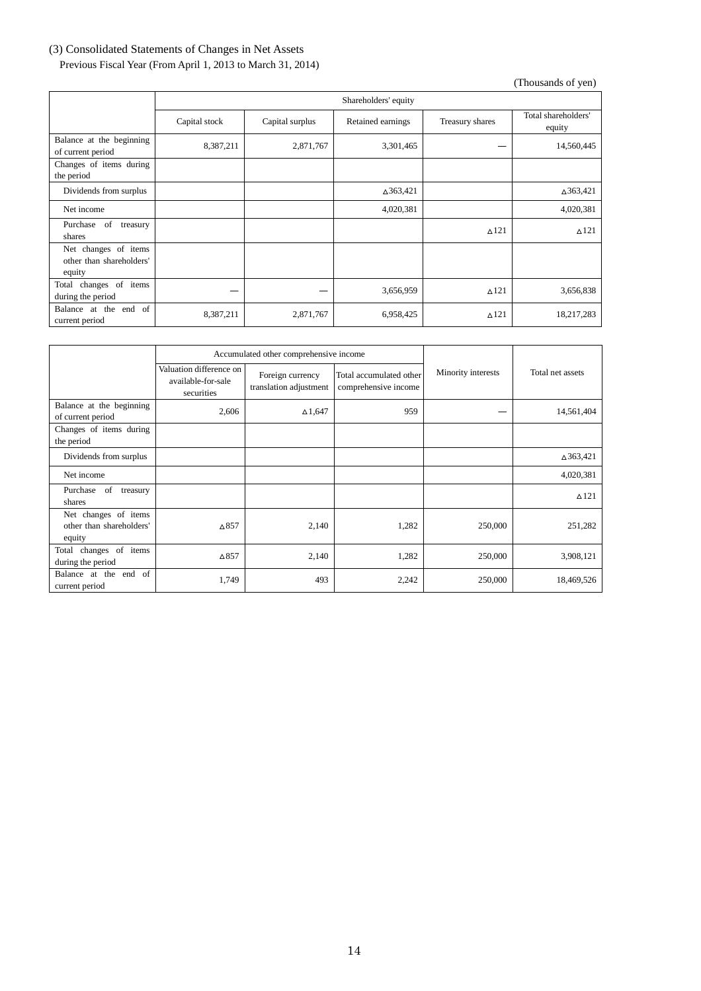# (3) Consolidated Statements of Changes in Net Assets

Previous Fiscal Year (From April 1, 2013 to March 31, 2014)

|                                                            | Shareholders' equity |                 |                   |                 |                               |
|------------------------------------------------------------|----------------------|-----------------|-------------------|-----------------|-------------------------------|
|                                                            | Capital stock        | Capital surplus | Retained earnings | Treasury shares | Total shareholders'<br>equity |
| Balance at the beginning<br>of current period              | 8,387,211            | 2,871,767       | 3,301,465         |                 | 14,560,445                    |
| Changes of items during<br>the period                      |                      |                 |                   |                 |                               |
| Dividends from surplus                                     |                      |                 | △363,421          |                 | △363,421                      |
| Net income                                                 |                      |                 | 4,020,381         |                 | 4,020,381                     |
| of<br>Purchase<br>treasury<br>shares                       |                      |                 |                   | $\Delta$ 121    | $\Delta$ 121                  |
| Net changes of items<br>other than shareholders'<br>equity |                      |                 |                   |                 |                               |
| changes of items<br>Total<br>during the period             |                      |                 | 3,656,959         | $\Delta$ 121    | 3,656,838                     |
| Balance at the end of<br>current period                    | 8,387,211            | 2,871,767       | 6,958,425         | $\triangle$ 121 | 18,217,283                    |

|                                                            |                                                             | Accumulated other comprehensive income     |                                                 |                    |                  |
|------------------------------------------------------------|-------------------------------------------------------------|--------------------------------------------|-------------------------------------------------|--------------------|------------------|
|                                                            | Valuation difference on<br>available-for-sale<br>securities | Foreign currency<br>translation adjustment | Total accumulated other<br>comprehensive income | Minority interests | Total net assets |
| Balance at the beginning<br>of current period              | 2,606                                                       | $\Delta$ 1,647                             | 959                                             |                    | 14,561,404       |
| Changes of items during<br>the period                      |                                                             |                                            |                                                 |                    |                  |
| Dividends from surplus                                     |                                                             |                                            |                                                 |                    | △363,421         |
| Net income                                                 |                                                             |                                            |                                                 |                    | 4,020,381        |
| Purchase of<br>treasury<br>shares                          |                                                             |                                            |                                                 |                    | $\triangle$ 121  |
| Net changes of items<br>other than shareholders'<br>equity | $\Delta$ 857                                                | 2,140                                      | 1,282                                           | 250,000            | 251,282          |
| changes of<br>items<br>Total<br>during the period          | $\Delta$ 857                                                | 2,140                                      | 1,282                                           | 250,000            | 3,908,121        |
| Balance at the end of<br>current period                    | 1,749                                                       | 493                                        | 2,242                                           | 250,000            | 18,469,526       |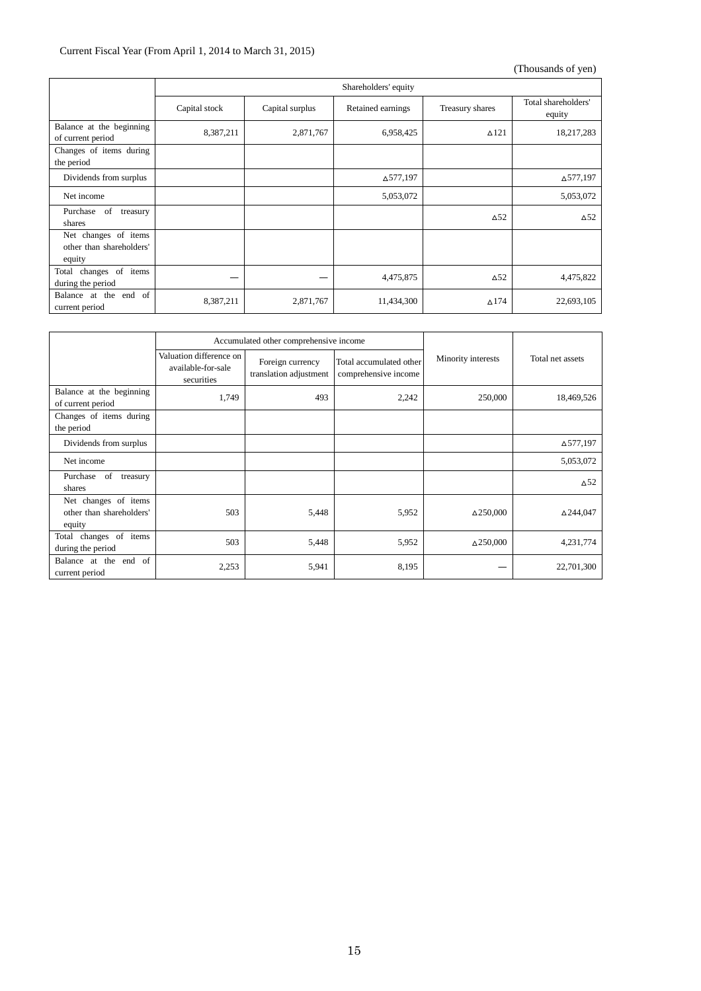## Current Fiscal Year (From April 1, 2014 to March 31, 2015)

|                                                            | Shareholders' equity |                 |                   |                 |                               |
|------------------------------------------------------------|----------------------|-----------------|-------------------|-----------------|-------------------------------|
|                                                            | Capital stock        | Capital surplus | Retained earnings | Treasury shares | Total shareholders'<br>equity |
| Balance at the beginning<br>of current period              | 8,387,211            | 2,871,767       | 6,958,425         | $\triangle$ 121 | 18,217,283                    |
| Changes of items during<br>the period                      |                      |                 |                   |                 |                               |
| Dividends from surplus                                     |                      |                 | △577,197          |                 | ∆577,197                      |
| Net income                                                 |                      |                 | 5,053,072         |                 | 5,053,072                     |
| Purchase of<br>treasury<br>shares                          |                      |                 |                   | $\Delta$ 52     | $\Delta$ 52                   |
| Net changes of items<br>other than shareholders'<br>equity |                      |                 |                   |                 |                               |
| changes of items<br>Total<br>during the period             |                      |                 | 4,475,875         | $\Delta$ 52     | 4,475,822                     |
| Balance at the end of<br>current period                    | 8,387,211            | 2,871,767       | 11,434,300        | $\Delta$ 174    | 22,693,105                    |

|                                                            | Accumulated other comprehensive income                      |                                            |                                                 |                    |                           |
|------------------------------------------------------------|-------------------------------------------------------------|--------------------------------------------|-------------------------------------------------|--------------------|---------------------------|
|                                                            | Valuation difference on<br>available-for-sale<br>securities | Foreign currency<br>translation adjustment | Total accumulated other<br>comprehensive income | Minority interests | Total net assets          |
| Balance at the beginning<br>of current period              | 1,749                                                       | 493                                        | 2,242                                           | 250,000            | 18,469,526                |
| Changes of items during<br>the period                      |                                                             |                                            |                                                 |                    |                           |
| Dividends from surplus                                     |                                                             |                                            |                                                 |                    | ∆577,197                  |
| Net income                                                 |                                                             |                                            |                                                 |                    | 5,053,072                 |
| Purchase of<br>treasury<br>shares                          |                                                             |                                            |                                                 |                    | $\triangle$ <sup>52</sup> |
| Net changes of items<br>other than shareholders'<br>equity | 503                                                         | 5,448                                      | 5,952                                           | $\Delta$ 250,000   | △244,047                  |
| changes of items<br>Total<br>during the period             | 503                                                         | 5,448                                      | 5,952                                           | $\Delta$ 250,000   | 4,231,774                 |
| Balance at the end of<br>current period                    | 2,253                                                       | 5,941                                      | 8,195                                           |                    | 22,701,300                |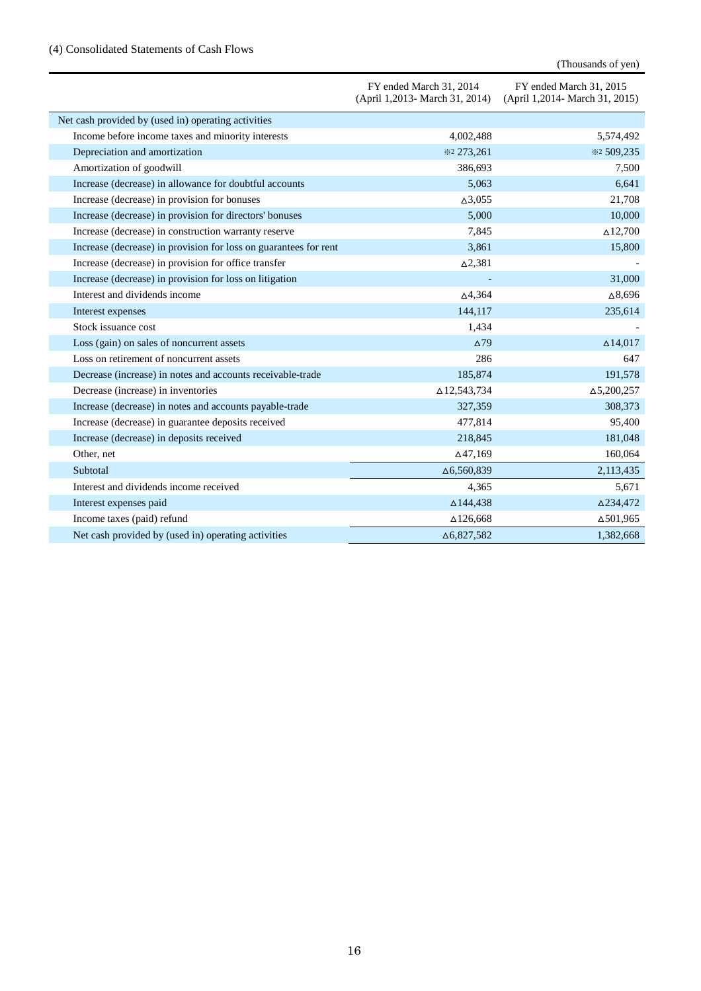## (4) Consolidated Statements of Cash Flows

|                                                                  | FY ended March 31, 2014<br>(April 1,2013- March 31, 2014) | FY ended March 31, 2015<br>(April 1,2014- March 31, 2015) |
|------------------------------------------------------------------|-----------------------------------------------------------|-----------------------------------------------------------|
| Net cash provided by (used in) operating activities              |                                                           |                                                           |
| Income before income taxes and minority interests                | 4,002,488                                                 | 5,574,492                                                 |
| Depreciation and amortization                                    | *2 273,261                                                | *2 509,235                                                |
| Amortization of goodwill                                         | 386,693                                                   | 7,500                                                     |
| Increase (decrease) in allowance for doubtful accounts           | 5,063                                                     | 6,641                                                     |
| Increase (decrease) in provision for bonuses                     | $\Delta$ 3,055                                            | 21,708                                                    |
| Increase (decrease) in provision for directors' bonuses          | 5,000                                                     | 10,000                                                    |
| Increase (decrease) in construction warranty reserve             | 7,845                                                     | $\Delta$ 12,700                                           |
| Increase (decrease) in provision for loss on guarantees for rent | 3,861                                                     | 15,800                                                    |
| Increase (decrease) in provision for office transfer             | $\Delta$ 2,381                                            |                                                           |
| Increase (decrease) in provision for loss on litigation          |                                                           | 31,000                                                    |
| Interest and dividends income                                    | $\Delta$ 4,364                                            | $\Delta 8,696$                                            |
| Interest expenses                                                | 144,117                                                   | 235,614                                                   |
| Stock issuance cost                                              | 1,434                                                     |                                                           |
| Loss (gain) on sales of noncurrent assets                        | $\Delta$ 79                                               | $\Delta$ 14,017                                           |
| Loss on retirement of noncurrent assets                          | 286                                                       | 647                                                       |
| Decrease (increase) in notes and accounts receivable-trade       | 185,874                                                   | 191,578                                                   |
| Decrease (increase) in inventories                               | △12,543,734                                               | $\Delta 5,200,257$                                        |
| Increase (decrease) in notes and accounts payable-trade          | 327,359                                                   | 308,373                                                   |
| Increase (decrease) in guarantee deposits received               | 477,814                                                   | 95,400                                                    |
| Increase (decrease) in deposits received                         | 218,845                                                   | 181,048                                                   |
| Other, net                                                       | $\Delta$ 47,169                                           | 160,064                                                   |
| Subtotal                                                         | $\Delta 6,560,839$                                        | 2,113,435                                                 |
| Interest and dividends income received                           | 4,365                                                     | 5,671                                                     |
| Interest expenses paid                                           | $\Delta$ 144,438                                          | △234,472                                                  |
| Income taxes (paid) refund                                       | $\Delta$ 126,668                                          | $\Delta$ 501,965                                          |
| Net cash provided by (used in) operating activities              | $\Delta 6,827,582$                                        | 1.382.668                                                 |